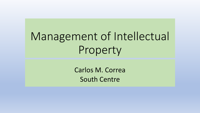# Management of Intellectual Property

Carlos M. Correa South Centre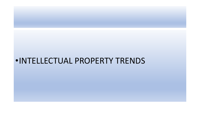## •INTELLECTUAL PROPERTY TRENDS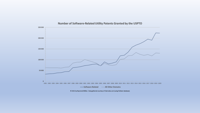

© 2021 by Raymond Millien. Data gathered courtesy of Clairvolex.com (using PatSeer database).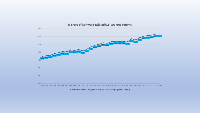

#### % Share of Software-Related U.S. Granted Patents

@ 2021 by Raymond Millien. Data gathered courtesy of Clairvolex.com (using PatSeer database).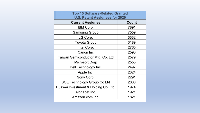| <b>Top 15 Software-Related Granted</b><br><b>U.S. Patent Assignees for 2020</b> |       |
|---------------------------------------------------------------------------------|-------|
| <b>Current Assignee</b>                                                         | Count |
| IBM Corp.                                                                       | 7891  |
| Samsung Group                                                                   | 7559  |
| LG Corp.                                                                        | 3332  |
| Toyota Group                                                                    | 3189  |
| Intel Corp.                                                                     | 2765  |
| Canon Inc                                                                       | 2590  |
| Taiwan Semiconductor Mfg. Co. Ltd                                               | 2579  |
| Microsoft Corp                                                                  | 2555  |
| Dell Technology Inc.                                                            | 2497  |
| Apple Inc.                                                                      | 2324  |
| Sony Corp.                                                                      | 2291  |
| <b>BOE Technology Group Co Ltd</b>                                              | 2000  |
| Huawei Investment & Holding Co. Ltd.                                            | 1974  |
| Alphabet Inc.                                                                   | 1921  |
| Amazon.com Inc.                                                                 | 1821  |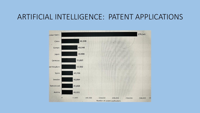#### ARTIFICIAL INTELLIGENCE: PATENT APPLICATIONS

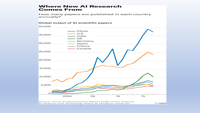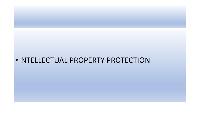#### •INTELLECTUAL PROPERTY PROTECTION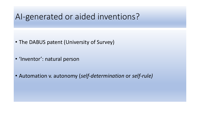#### AI-generated or aided inventions?

- The DABUS patent (University of Survey)
- 'Inventor': natural person
- Automation v. autonomy (*self-determination* or *self-rule)*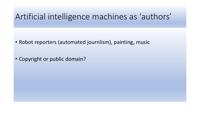#### Artificial intelligence machines as 'authors'

- Robot reporters (automated journlism), painting, music
- Copyright or public domain?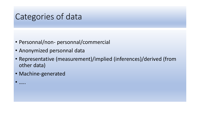### Categories of data

- Personnal/non- personnal/commercial
- Anonymized personnal data
- Representative (measurement)/implied (inferences)/derived (from other data)
- Machine-generated

• …..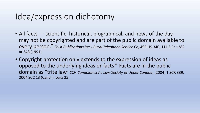# Idea/expression dichotomy

- All facts scientific, historical, biographical, and news of the day, may not be copyrighted and are part of the public domain available to every person." *Feist Publications Inc v Rural Telephone Service Co,* 499 US 340, 111 S Ct 1282 at 348 (1991)
- Copyright protection only extends to the expression of ideas as opposed to the underlying ideas or facts." Facts are in the public domain as "trite law" *CCH Canadian Ltd v Law Society of Upper Canada*, [2004] 1 SCR 339, 2004 SCC 13 (CanLII), para 25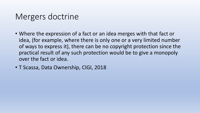## Mergers doctrine

- Where the expression of a fact or an idea merges with that fact or idea, (for example, where there is only one or a very limited number of ways to express it), there can be no copyright protection since the practical result of any such protection would be to give a monopoly over the fact or idea.
- T Scassa, Data Ownership, CIGI, 2018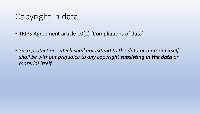# Copyright in data

- TRIPS Agreement article 10(2) [Compliations of data]
- *Such protection, which shall not extend to the data or material itself, shall be without prejudice to any copyright subsisting in the data or material itself*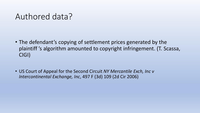#### Authored data?

- The defendant's copying of settlement prices generated by the plaintiff 's algorithm amounted to copyright infringement. (T. Scassa, CIGI)
- US Court of Appeal for the Second Circuit *NY Mercantile Exch, Inc v Intercontinental Exchange, Inc*, 497 F (3d) 109 (2d Cir 2006)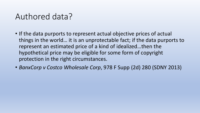## Authored data?

- If the data purports to represent actual objective prices of actual things in the world… it is an unprotectable fact; if the data purports to represent an estimated price of a kind of idealized…then the hypothetical price may be eligible for some form of copyright protection in the right circumstances.
- *BanxCorp v Costco Wholesale Corp*, 978 F Supp (2d) 280 (SDNY 2013)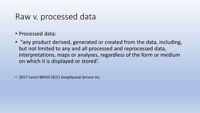#### Raw v. processed data

- Processed data:
- "any product derived, generated or created from the data, including, but not limited to any and all processed and reprocessed data, interpretations, maps or analyses, regardless of the form or medium on which it is displayed or stored'.

• 2017 CanLII 80435 (SCC) *Geophysical Service Inc*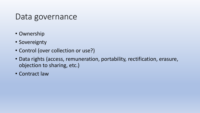#### Data governance

- Ownership
- Sovereignty
- Control (over collection or use?)
- Data rights (access, remuneration, portability, rectification, erasure, objection to sharing, etc.)
- Contract law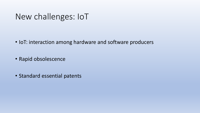#### New challenges: IoT

- IoT: interaction among hardware and software producers
- Rapid obsolescence
- Standard essential patents